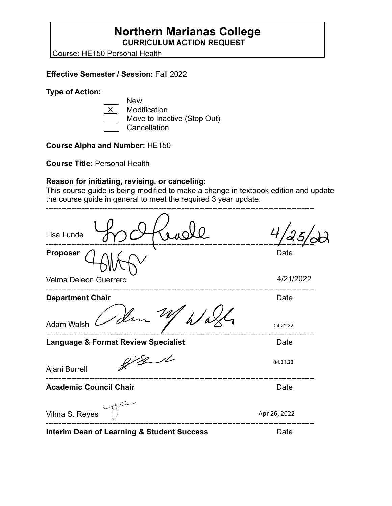### **Northern Marianas College CURRICULUM ACTION REQUEST**

Course: HE150 Personal Health

#### **Effective Semester / Session:** Fall 2022

#### **Type of Action:**

| <b>New</b>                                  |
|---------------------------------------------|
| Modification                                |
| Move to Inactive (Stop Out)<br>Cancellation |

#### **Course Alpha and Number:** HE150

**Course Title:** Personal Health

#### **Reason for initiating, revising, or canceling:**

This course guide is being modified to make a change in textbook edition and update the course guide in general to meet the required 3 year update.

| Lisa Lunde                                            |              |
|-------------------------------------------------------|--------------|
| <b>Proposer</b>                                       | Date         |
| Velma Deleon Guerrero                                 | 4/21/2022    |
| <b>Department Chair</b><br>1 dm                       | Date         |
| <b>Adam Walsh</b>                                     | 04.21.22     |
| <b>Language &amp; Format Review Specialist</b>        | Date         |
| Ajani Burrell                                         | 04.21.22     |
| <b>Academic Council Chair</b>                         | Date         |
| Vilma S. Reyes                                        | Apr 26, 2022 |
| <b>Interim Dean of Learning &amp; Student Success</b> | Date         |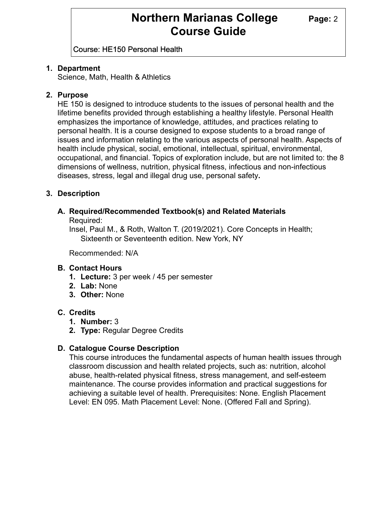## **Northern Marianas College Page: 2 Course Guide**

Course: HE150 Personal Health

#### **1. Department**

Science, Math, Health & Athletics

#### **2. Purpose**

HE 150 is designed to introduce students to the issues of personal health and the lifetime benefits provided through establishing a healthy lifestyle. Personal Health emphasizes the importance of knowledge, attitudes, and practices relating to personal health. It is a course designed to expose students to a broad range of issues and information relating to the various aspects of personal health. Aspects of health include physical, social, emotional, intellectual, spiritual, environmental, occupational, and financial. Topics of exploration include, but are not limited to: the 8 dimensions of wellness, nutrition, physical fitness, infectious and non-infectious diseases, stress, legal and illegal drug use, personal safety**.**

#### **3. Description**

## **A. Required/Recommended Textbook(s) and Related Materials**

Required:

Insel, Paul M., & Roth, Walton T. (2019/2021). Core Concepts in Health; Sixteenth or Seventeenth edition. New York, NY

Recommended: N/A

#### **B. Contact Hours**

- **1. Lecture:** 3 per week / 45 per semester
- **2. Lab:** None
- **3. Other:** None

#### **C. Credits**

- **1. Number:** 3
- **2. Type:** Regular Degree Credits

#### **D. Catalogue Course Description**

This course introduces the fundamental aspects of human health issues through classroom discussion and health related projects, such as: nutrition, alcohol abuse, health-related physical fitness, stress management, and self-esteem maintenance. The course provides information and practical suggestions for achieving a suitable level of health. Prerequisites: None. English Placement Level: EN 095. Math Placement Level: None. (Offered Fall and Spring).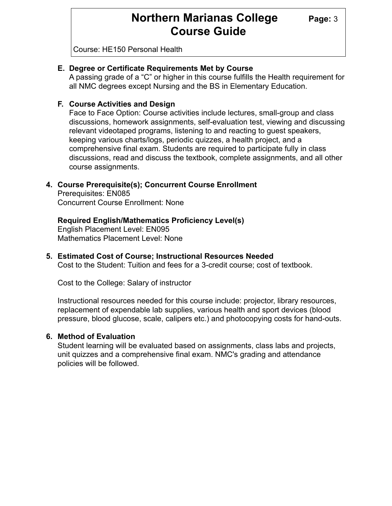## **Northern Marianas College** Page: 3 **Course Guide**

Course: HE150 Personal Health

#### **E. Degree or Certificate Requirements Met by Course**

A passing grade of a "C" or higher in this course fulfills the Health requirement for all NMC degrees except Nursing and the BS in Elementary Education.

#### **F. Course Activities and Design**

Face to Face Option: Course activities include lectures, small-group and class discussions, homework assignments, self-evaluation test, viewing and discussing relevant videotaped programs, listening to and reacting to guest speakers, keeping various charts/logs, periodic quizzes, a health project, and a comprehensive final exam. Students are required to participate fully in class discussions, read and discuss the textbook, complete assignments, and all other course assignments.

#### **4. Course Prerequisite(s); Concurrent Course Enrollment**

Prerequisites: EN085 Concurrent Course Enrollment: None

#### **Required English/Mathematics Proficiency Level(s)**

English Placement Level: EN095 Mathematics Placement Level: None

#### **5. Estimated Cost of Course; Instructional Resources Needed** Cost to the Student: Tuition and fees for a 3-credit course; cost of textbook.

Cost to the College: Salary of instructor

Instructional resources needed for this course include: projector, library resources, replacement of expendable lab supplies, various health and sport devices (blood pressure, blood glucose, scale, calipers etc.) and photocopying costs for hand-outs.

#### **6. Method of Evaluation**

Student learning will be evaluated based on assignments, class labs and projects, unit quizzes and a comprehensive final exam. NMC's grading and attendance policies will be followed.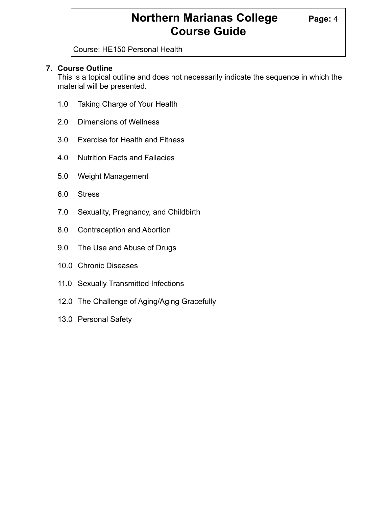## **Northern Marianas College Page: 4 Course Guide**

Course: HE150 Personal Health

#### **7. Course Outline**

This is a topical outline and does not necessarily indicate the sequence in which the material will be presented.

- 1.0 Taking Charge of Your Health
- 2.0 Dimensions of Wellness
- 3.0 Exercise for Health and Fitness
- 4.0 Nutrition Facts and Fallacies
- 5.0 Weight Management
- 6.0 Stress
- 7.0 Sexuality, Pregnancy, and Childbirth
- 8.0 Contraception and Abortion
- 9.0 The Use and Abuse of Drugs
- 10.0 Chronic Diseases
- 11.0 Sexually Transmitted Infections
- 12.0 The Challenge of Aging/Aging Gracefully
- 13.0 Personal Safety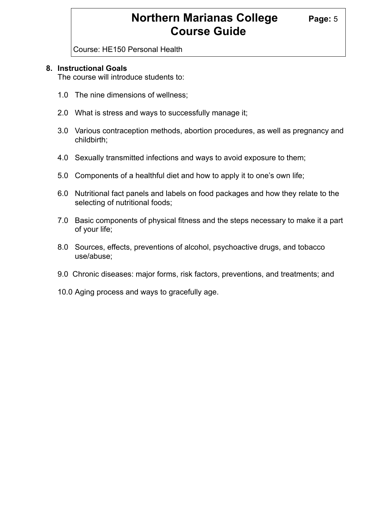## **Northern Marianas College Page: 5 Course Guide**

Course: HE150 Personal Health

#### **8. Instructional Goals**

The course will introduce students to:

- 1.0 The nine dimensions of wellness;
- 2.0 What is stress and ways to successfully manage it;
- 3.0 Various contraception methods, abortion procedures, as well as pregnancy and childbirth;
- 4.0 Sexually transmitted infections and ways to avoid exposure to them;
- 5.0 Components of a healthful diet and how to apply it to one's own life;
- 6.0 Nutritional fact panels and labels on food packages and how they relate to the selecting of nutritional foods;
- 7.0 Basic components of physical fitness and the steps necessary to make it a part of your life;
- 8.0 Sources, effects, preventions of alcohol, psychoactive drugs, and tobacco use/abuse;
- 9.0 Chronic diseases: major forms, risk factors, preventions, and treatments; and
- 10.0 Aging process and ways to gracefully age.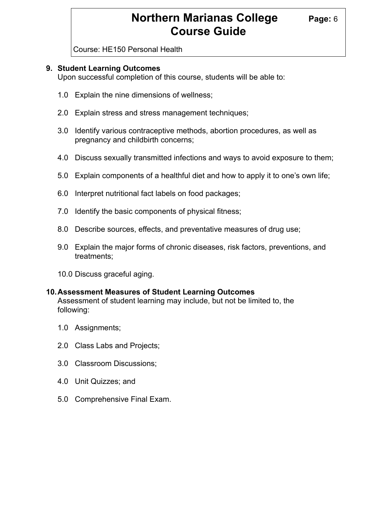## **Northern Marianas College Page: 6 Course Guide**

Course: HE150 Personal Health

#### **9. Student Learning Outcomes**

Upon successful completion of this course, students will be able to:

- 1.0 Explain the nine dimensions of wellness;
- 2.0 Explain stress and stress management techniques;
- 3.0 Identify various contraceptive methods, abortion procedures, as well as pregnancy and childbirth concerns;
- 4.0 Discuss sexually transmitted infections and ways to avoid exposure to them;
- 5.0 Explain components of a healthful diet and how to apply it to one's own life;
- 6.0 Interpret nutritional fact labels on food packages;
- 7.0 Identify the basic components of physical fitness;
- 8.0 Describe sources, effects, and preventative measures of drug use;
- 9.0 Explain the major forms of chronic diseases, risk factors, preventions, and treatments;
- 10.0 Discuss graceful aging.

#### **10.Assessment Measures of Student Learning Outcomes**

Assessment of student learning may include, but not be limited to, the following:

- 1.0 Assignments;
- 2.0 Class Labs and Projects;
- 3.0 Classroom Discussions;
- 4.0 Unit Quizzes; and
- 5.0 Comprehensive Final Exam.